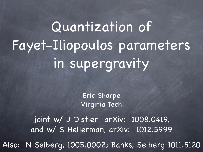# Quantization of Fayet-Iliopoulos parameters in supergravity

Eric Sharpe Virginia Tech

joint w/ J Distler arXiv: 1008.0419, and w/ S Hellerman, arXiv: 1012.5999

Also: N Seiberg, 1005.0002; Banks, Seiberg 1011.5120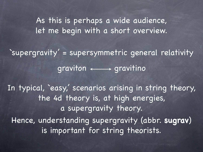As this is perhaps a wide audience, let me begin with a short overview.

`supergravity' = supersymmetric general relativity  $graviton \leftarrow \rightarrow gravitino$ 

In typical, 'easy,' scenarios arising in string theory, the 4d theory is, at high energies, a supergravity theory. Hence, understanding supergravity (abbr. **sugrav**) is important for string theorists.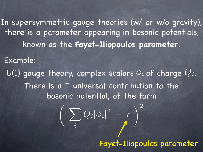In supersymmetric gauge theories (w/ or w/o gravity), there is a parameter appearing in bosonic potentials, known as the **Fayet-Iliopoulos parameter**.

Example:

U(1) gauge theory, complex scalars  $\phi_i$  of charge  $Q_i.$ There is a  $\sim$  universal contribution to the bosonic potential, of the form

$$
\bigg(\sum_i Q_i |\phi_i|^2 - r\bigg)^2
$$

Fayet-Iliopoulos parameter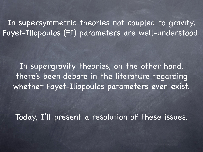In supersymmetric theories not coupled to gravity, Fayet-Iliopoulos (FI) parameters are well-understood.

In supergravity theories, on the other hand, there's been debate in the literature regarding whether Fayet-Iliopoulos parameters even exist.

Today, I'll present a resolution of these issues.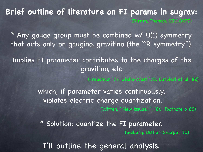(Dienes, Thomas, 0911.0677) **Brief outline of literature on FI params in sugrav:**

\* Any gauge group must be combined w/ U(1) symmetry that acts only on gaugino, gravitino (the ``R symmetry '').

Implies FI parameter contributes to the charges of the gravitino, etc

(Freedman '77, Stelle-West '78, Barbieri et al '82)

which, if parameter varies continuously, violates electric charge quantization. (Witten, ``New issues...'', '86, footnote p 85)

\* Solution: quantize the FI parameter. (Seiberg; Distler-Sharpe; '10)

I'll outline the general analysis.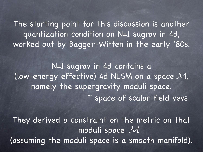The starting point for this discussion is another quantization condition on N=1 sugrav in 4d, worked out by Bagger-Witten in the early '80s.

N=1 sugrav in 4d contains a (low-energy effective) 4d NLSM on a space  $M$ , namely the supergravity moduli space. ~ space of scalar field vevs

They derived a constraint on the metric on that moduli space M (assuming the moduli space is a smooth manifold).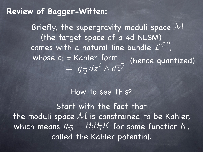### **Review of Bagger-Witten:**

**(hence quantized)** Briefly, the supergravity moduli space  $\mathcal M$ (the target space of a 4d NLSM) comes with a natural line bundle  $\mathcal{L}^{\otimes 2}$ , whose  $c_1$  = Kahler form (hence  $a$ ud  $= \; g_{i \overline{j}} \, dz^i \wedge d \overline{z}^{\overline{j}}$ 

### How to see this?

Start with the fact that the moduli space  $M$  is constrained to be Kahler, which means  $g_{i\overline\jmath} = \partial_i\partial_{\overline\jmath} K$  for some function  $K_\eta$ called the Kahler potential.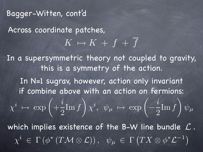Across coordinate patches,  $\boxed{K \mapsto K + f + \overline{f}}$ Bagger-Witten, cont'd In a supersymmetric theory not coupled to gravity, this is a symmetry of the action.  $\chi^i ~\mapsto~ \exp$  $\sqrt{2}$  $+$  $\boldsymbol{i}$ 2  $\mathop{\mathrm{Im}} f$ "  $\chi^i, \ \psi_\mu \, \mapsto \, {\rm exp}$  $\left( \begin{array}{c} i \\ -i \end{array} \right)$ 2  $\mathop{\mathrm{Im}} f$  $\setminus$  $\overline{\psi}_\mu$  $\chi^i~\in~\Gamma\left(\phi^*\left(T\mathcal{M}\otimes \mathcal{L}\right)\right),~~~\psi_\mu~\in~\Gamma\left(T X \otimes \phi^* \mathcal{L}^{-1}\right)$ In N=1 sugrav, however, action only invariant if combine above with an action on fermions: which implies existence of the B-W line bundle  $\mathcal L$  .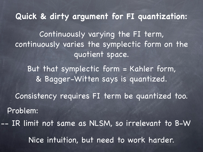**Quick & dirty argument for FI quantization:**

Continuously varying the FI term, continuously varies the symplectic form on the quotient space.

But that symplectic form = Kahler form, & Bagger-Witten says is quantized.

Consistency requires FI term be quantized too. Problem: -- IR limit not same as NLSM, so irrelevant to B-W Nice intuition, but need to work harder.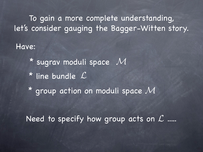To gain a more complete understanding, let's consider gauging the Bagger-Witten story.

Have:

 $*$  sugrav moduli space  $\mathcal{M}$ \* line bundle L  $^{\star}$  group action on moduli space  $\mathcal{M}$ 

Need to specify how group acts on  $\mathcal L$  .....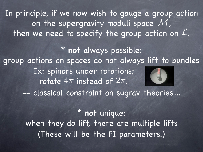In principle, if we now wish to gauge a group action on the supergravity moduli space  $\mathcal{M}_n$ then we need to specify the group action on  $\mathcal{L}.$ L

\* **not** always possible: group actions on spaces do not always lift to bundles -- classical constraint on sugrav theories.... Ex: spinors under rotations; rotate  $4\pi$  ins  $4\pi$ tead of  $2\pi$ .  $2\pi$ 

> \* **not** unique: when they do lift, there are multiple lifts (These will be the FI parameters.)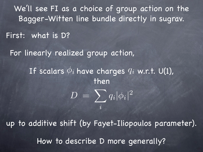We'll see FI as a choice of group action on the Bagger-Witten line bundle directly in sugrav.

First: what is D?

For linearly realized group action,

If scalars  $\phi_i$  have charges  $q_i$  w.r.t. U(1), then

$$
D\,=\,\sum_i q_i |\phi_i|^2
$$

up to additive shift (by Fayet-Iliopoulos parameter). How to describe D more generally?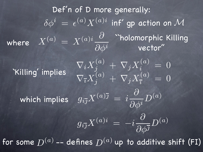Def'n of D more generally:  $\delta \phi^i \,=\, \epsilon^{(a)} X^{(a)i}$  inf' gp action on  ${\cal M}$ where  $X^{(a)}=X^{(a)i}\frac{\partial}{\partial x^{i}}$  $\overline{\partial \phi^i}$ ``holomorphic Killing vector'' `Killing' implies  $\nabla_i X_j^{(a)} \: + \: \nabla_j X_i^{(a)} \: = \: 0$  $\nabla_{\overline{\imath}}X_j^{(a)}\,+\,\nabla_{j}X_{\overline{\imath}}^{(a)}$  $= 0$  $g_{i\overline\jmath}X^{(a)\overline\jmath}=\,i\frac{\partial}{\partial A}$  $\frac{\partial}{\partial \phi^i} D^{(a)}$  $g_{i\overline\jmath}X^{(a)i}=-i\frac{\partial}{\partial\jmath}$  $\partial \phi^{\overline\jmath}$  $D^{(a)}$ which implies for some  $D^{(a)}$  -- defines  $D^{(a)}$  up to additive shift (FI)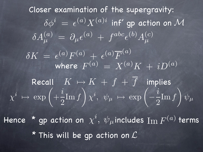Closer examination of the supergravity:  $\delta A^{(a)}_\mu \,=\, \partial_\mu \epsilon^{(a)} \,+\, f^{abc} \epsilon^{(b)} A^{(c)}_\mu$  $\delta \phi^i \,=\, \epsilon^{(a)} X^{(a)i}$  inf' gp action on  ${\cal M}$  $\delta K \ = \ \epsilon^{(a)} F^{(a)} \ + \ \epsilon^{(a)} \overline{F}^{(a)}$ where  $F^{(a)} = X^{(a)}K + iD^{(a)}$ Recall  $K\mapsto K\,+\,f\,+\,\overline{f}\,$  implies  $\chi^i ~\mapsto~ \exp$  $\sqrt{2}$  $+$  $\boldsymbol{i}$ 2  $\mathop{\mathrm{Im}} f$  $\setminus$  $\chi^{\boldsymbol{i}},\ \ \psi_{\boldsymbol{\mu}}\ \mapsto\ \exp$  $\left( \begin{array}{c} i \\ -i \end{array} \right)$ 2  ${\rm Im}\, f$  $\setminus$  $\overline{\psi}_\mu$ Hence  $\text{\texttt{*}}$  gp action on  $\chi^i, \; \psi_\mu$ includes  $\text{Im}\,F^{(a)}$  terms  $*$  This will be gp action on  $\mathcal L$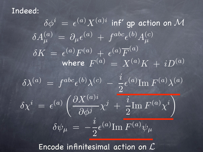Indeed:

 $\delta A^{(a)}_\mu \,=\, \partial_\mu \epsilon^{(a)} \,+\, f^{abc} \epsilon^{(b)} A^{(c)}_\mu$  $\delta \phi^i \,=\, \epsilon^{(a)} X^{(a)i}$  inf' gp action on  ${\cal M}$  $\delta \chi^i \ = \ \epsilon^{(a)} \, \Big( \frac{\partial X^{(a)i}}{\partial \ \vec{r}^i} \Big)$  $\frac{\partial \overline{\mathbf{A}}^{\mathbf{A}^{\prime}}}{\partial \phi^{j}} \chi^{j} \; + \;$  $\boldsymbol{i}$ 2  $\mathrm{Im}\ F^{(a)}\chi^i$  $\setminus$  $\delta \lambda^{(a)} ~=~ f^{abc} \epsilon^{(b)} \lambda^{(c)} ~-~ \frac{i}{\Omega}$ 2  $\epsilon$ (a)  $\text{Im } F^{(a)} \lambda^{(a)}$  $\delta \psi_\mu \,=\, -\frac{i}{2}$ 2  $\epsilon^{(a)} {\rm Im} \, F^{(a)} \psi_{\mu}$  $\delta K \ = \ \epsilon^{(a)} F^{(a)} \ + \ \epsilon^{(a)} \overline{F}^{(a)}$ where  $F^{(a)}=X^{(a)}K+iD^{(a)}$ 

Encode infinitesimal action on L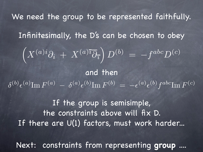We need the group to be represented faithfully. Infinitesimally, the D's can be chosen to obey If the group is semisimple, the constraints above will fix D. If there are  $U(1)$  factors, must work harder...  $\Bigl( X^{(a)i}\partial_i + X^{(a)\bar{\imath}} \overline{\partial}_{\bar{\imath}}$  $\int D^{(b)}\,=\,-f^{abc}D^{(c)}$  $\delta^{(b)}\epsilon^{(a)} {\rm Im} \, F^{(a)} \, - \, \delta^{(a)}\epsilon^{(b)} {\rm Im} \, F^{(b)} \, = \, - \epsilon^{(a)}\epsilon^{(b)}f^{abc}{\rm Im} \, F^{(c)}$ and then

Next: constraints from representing **group** ....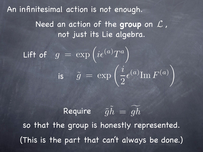An infinitesimal action is not enough. Need an action of the group on  $\mathcal L$  , not just its Lie algebra. Lift of  $g = \exp f$  $\left($  $i\epsilon$  $(a)T^a\bigg)$ is  $\tilde{g} = \exp$  $\int i$ 2  $\epsilon^{(a)}$ Im  $F^{(a)}$ "

Require  $\widetilde{g}\tilde{h} = \widetilde{gh}$ h so that the group is honestly represented. (This is the part that can't always be done.)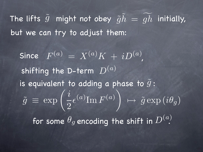The lifts  $\tilde{g}$  might not obey  $\tilde{g}\tilde{h} = \widetilde{gh}$  $h$  initially, but we can try to adjust them:

Since  $F^{(a)} = X^{(a)} K + i D^{(a)}$ , shifting the D-term  $\,D^{(a)}\,$ is equivalent to adding a phase to  $\tilde{g}$  :  $\tilde{g} \equiv \exp$  $\int i$ 2  $\epsilon^{(a)} {\rm Im} \, F^{(a)}$  $\setminus$  $\mapsto \tilde{g} \exp(i \theta_g)$ for some  $\theta_g$  encoding the shift in  $D^{(a)}$ .  $D^{(a)}$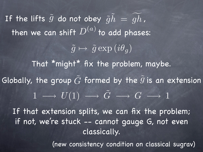If the lifts  $\tilde{g}$  do not obey  $\tilde{g}\tilde{h} \,=\, \widetilde{gh}$  $h$  , then we can shift  $D^{(u)}$  t  $\overline{D}$ o add phases:  $\left(a\right)$  $\tilde{g} \mapsto \tilde{g} \exp(i\theta_a)$ That \*might\* fix the problem, maybe.  $1 \longrightarrow U(1) \longrightarrow \tilde{G} \longrightarrow G \longrightarrow 1$ Globally, the group  $\tilde{G}$  formed by the  $\tilde{g}$  is an extension If that extension splits, we can fix the problem; if not, we're stuck -- cannot gauge G, not even classically. (new consistency condition on classical sugrav)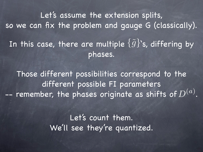Let's assume the extension splits, so we can fix the problem and gauge G (classically). In this case, there are multiple  $\{\tilde{g}\}$ 's, differing by phases.

Those different possibilities correspond to the different possible FI parameters -- remember, the phases originate as shifts of  $D^{(a)}.$ 

> Let's count them. We'll see they're quantized.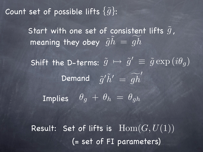Count set of possible lifts  $\{\tilde{g}\}$ :

Start with one set of consistent lifts  $\tilde{g}$  , meaning they obey  $\tilde{g}\tilde{h} = \tilde{g}h$ h

Shift the D-terms:  $\tilde{g} \mapsto \tilde{g}' \, \equiv \, \tilde{g} \exp{(i \theta_g)}$  $\tilde{g}'\tilde{h}'\,=\,\widehat{g}$  $\widetilde{h}$ h ! Demand Implies  $\theta_g + \theta_h = \theta_{gh}$ 

Result: Set of lifts is  $\mathrm{Hom}(G,U(1))$ (= set of FI parameters)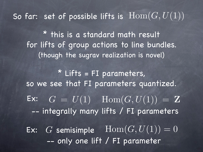So far: set of possible lifts is  $\mathrm{Hom}(G,U(1))$ 

\* this is a standard math result for lifts of group actions to line bundles. (though the sugrav realization is novel)

Ex:  $G = U(1)$   $\text{Hom}(G, U(1)) = \mathbf{Z}$ -- integrally many lifts / FI parameters  $*$  Lifts = FI parameters, so we see that FI parameters quantized. Ex: G semisimple  $\text{Hom}(G, U(1)) = 0$ -- only one lift / FI parameter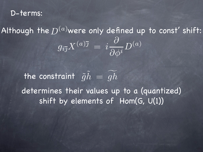#### D-terms:

Although the  $D^{(a)}$ were only defined up to const' shift:  $\left(a\right)$  $g_{i\overline\jmath}X^{(a)\overline\jmath}={i\frac{\partial}{\partial A}}$  $\frac{\partial}{\partial \phi^i} D^{(a)}$ 

the constraint  $\tilde{g}\tilde{h} = \widetilde{gh}$ h determines their values up to a (quantized) shift by elements of Hom(G, U(1))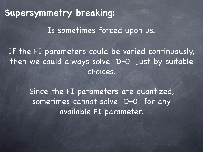## **Supersymmetry breaking:**

Is sometimes forced upon us.

If the FI parameters could be varied continuously, then we could always solve D=0 just by suitable choices.

> Since the FI parameters are quantized, sometimes cannot solve D=0 for any available FI parameter.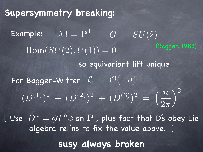**Supersymmetry breaking:** Example:  $\mathcal{M} = \mathbf{P}^1$   $G = SU(2)$  $Hom(SU(2), U(1)) = 0$ so equivariant lift unique  $(D^{(1)})^2 + (D^{(2)})^2 + (D^{(3)})^2 =$  $\binom{n}{k}$  $\overline{2\pi}$  $\setminus^2$ For Bagger-Witten  $\mathcal{L} = \mathcal{O}(-n)$ **susy always broken** (Bagger, 1983) [ Use  $\,D^a=\phi T^a\phi$  on  ${\bf P}^1$ , plus fact that D's obey Lie algebra rel'ns to fix the value above. ]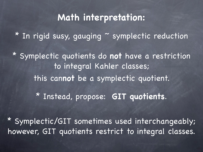# **Math interpretation:**

\* In rigid susy, gauging ~ symplectic reduction

\* Symplectic quotients do **not** have a restriction to integral Kahler classes; this can**not** be a symplectic quotient.

\* Instead, propose: **GIT quotients**.

\* Symplectic/GIT sometimes used interchangeably; however, GIT quotients restrict to integral classes.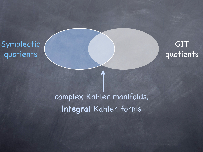Symplectic quotients



# complex Kahler manifolds, **integral** Kahler forms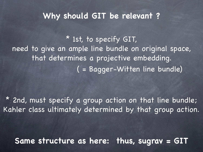### **Why should GIT be relevant ?**

\* 1st, to specify GIT, need to give an ample line bundle on original space, that determines a projective embedding. ( = Bagger-Witten line bundle)

\* 2nd, must specify a group action on that line bundle; Kahler class ultimately determined by that group action.

**Same structure as here: thus, sugrav = GIT**